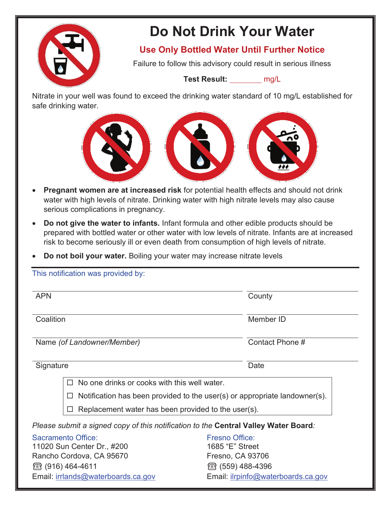

# **Do Not Drink Your Water**

**Use Only Bottled Water Until Further Notice** 

Failure to follow this advisory could result in serious illness

**Test Result:** mg/L

Nitrate in your well was found to exceed the drinking water standard of 10 mg/L established for safe drinking water.



- **Pregnant women are at increased risk** for potential health effects and should not drink water with high levels of nitrate. Drinking water with high nitrate levels may also cause serious complications in pregnancy.
- **Do not give the water to infants.** Infant formula and other edible products should be prepared with bottled water or other water with low levels of nitrate. Infants are at increased risk to become seriously ill or even death from consumption of high levels of nitrate.
- **Do not boil your water.** Boiling your water may increase nitrate levels

| This notification was provided by:                                                  |                                                                            |
|-------------------------------------------------------------------------------------|----------------------------------------------------------------------------|
| <b>APN</b>                                                                          | County                                                                     |
| Coalition                                                                           | Member ID                                                                  |
| Name (of Landowner/Member)                                                          | Contact Phone #                                                            |
| Signature                                                                           | Date                                                                       |
| No one drinks or cooks with this well water.<br>$\Box$                              |                                                                            |
|                                                                                     | Notification has been provided to the user(s) or appropriate landowner(s). |
| Replacement water has been provided to the user(s).                                 |                                                                            |
| Please submit a signed copy of this notification to the Central Valley Water Board: |                                                                            |
| Sacramento Office:                                                                  | Fresno Office:                                                             |
| 11020 Sun Center Dr., #200<br>Rancho Cordova, CA 95670                              | 1685 "E" Street<br>Fresno, CA 93706                                        |
| 28 (916) 464-4611                                                                   | ☎ (559) 488-4396                                                           |
| Email: irrlands@waterboards.ca.gov                                                  | Email: ilrpinfo@waterboards.ca.gov                                         |